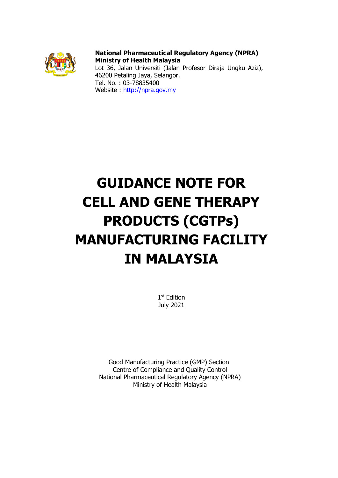

**National Pharmaceutical Regulatory Agency (NPRA) Ministry of Health Malaysia** Lot 36, Jalan Universiti (Jalan Profesor Diraja Ungku Aziz), 46200 Petaling Jaya, Selangor. Tel. No. : 03-78835400 Website : [http://npra.gov.my](http://npra.gov.my/)

# **GUIDANCE NOTE FOR CELL AND GENE THERAPY PRODUCTS (CGTPs) MANUFACTURING FACILITY IN MALAYSIA**

1st Edition July 2021

Good Manufacturing Practice (GMP) Section Centre of Compliance and Quality Control National Pharmaceutical Regulatory Agency (NPRA) Ministry of Health Malaysia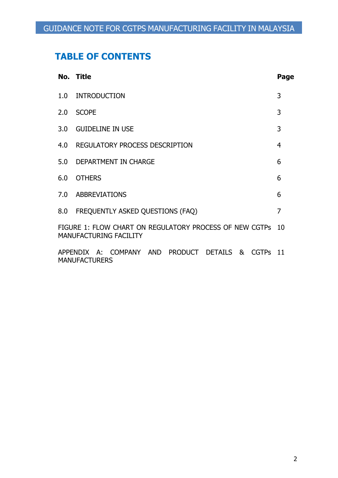# **TABLE OF CONTENTS**

|                                                                                                  | No. Title                                                                  | Page |  |  |  |  |  |  |
|--------------------------------------------------------------------------------------------------|----------------------------------------------------------------------------|------|--|--|--|--|--|--|
| 1.0                                                                                              | <b>INTRODUCTION</b>                                                        | 3    |  |  |  |  |  |  |
| 2.0                                                                                              | <b>SCOPE</b>                                                               | 3    |  |  |  |  |  |  |
|                                                                                                  | 3.0 GUIDELINE IN USE                                                       | 3    |  |  |  |  |  |  |
| 4.0                                                                                              | REGULATORY PROCESS DESCRIPTION                                             |      |  |  |  |  |  |  |
|                                                                                                  | 5.0 DEPARTMENT IN CHARGE                                                   | 6    |  |  |  |  |  |  |
| 6.0                                                                                              | <b>OTHERS</b>                                                              | 6    |  |  |  |  |  |  |
|                                                                                                  | 7.0 ABBREVIATIONS                                                          |      |  |  |  |  |  |  |
|                                                                                                  | 8.0 FREQUENTLY ASKED QUESTIONS (FAQ)                                       |      |  |  |  |  |  |  |
| FIGURE 1: FLOW CHART ON REGULATORY PROCESS OF NEW CGTPS<br>- 10<br><b>MANUFACTURING FACILITY</b> |                                                                            |      |  |  |  |  |  |  |
|                                                                                                  | APPENDIX A: COMPANY AND PRODUCT DETAILS & CGTPs 11<br><b>MANUFACTURERS</b> |      |  |  |  |  |  |  |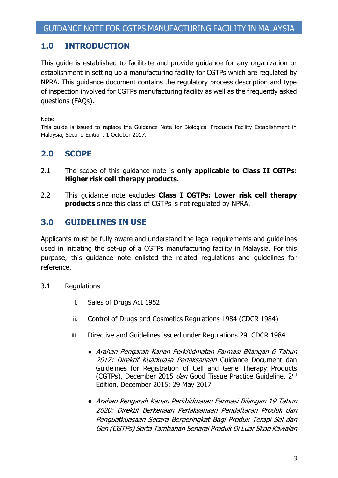## **1.0 INTRODUCTION**

This guide is established to facilitate and provide guidance for any organization or establishment in setting up a manufacturing facility for CGTPs which are regulated by NPRA. This guidance document contains the regulatory process description and type of inspection involved for CGTPs manufacturing facility as well as the frequently asked questions (FAQs).

Note:

This guide is issued to replace the Guidance Note for Biological Products Facility Establishment in Malaysia, Second Edition, 1 October 2017.

# **2.0 SCOPE**

- 2.1 The scope of this guidance note is **only applicable to Class II CGTPs: Higher risk cell therapy products.**
- 2.2 This guidance note excludes **Class I CGTPs: Lower risk cell therapy products** since this class of CGTPs is not regulated by NPRA.

# **3.0 GUIDELINES IN USE**

Applicants must be fully aware and understand the legal requirements and guidelines used in initiating the set-up of a CGTPs manufacturing facility in Malaysia. For this purpose, this guidance note enlisted the related regulations and guidelines for reference.

- 3.1 Regulations
	- i. Sales of Drugs Act 1952
	- ii. Control of Drugs and Cosmetics Regulations 1984 (CDCR 1984)
	- iii. Directive and Guidelines issued under Regulations 29, CDCR 1984
		- Arahan Pengarah Kanan Perkhidmatan Farmasi Bilangan 6 Tahun 2017: Direktif Kuatkuasa Perlaksanaan Guidance Document dan Guidelines for Registration of Cell and Gene Therapy Products (CGTPs), December 2015 dan Good Tissue Practice Guideline, 2<sup>nd</sup> Edition, December 2015; 29 May 2017
		- Arahan Pengarah Kanan Perkhidmatan Farmasi Bilangan 19 Tahun 2020: Direktif Berkenaan Perlaksanaan Pendaftaran Produk dan Penguatkuasaan Secara Berperingkat Bagi Produk Terapi Sel dan Gen (CGTPs) Serta Tambahan Senarai Produk Di Luar Skop Kawalan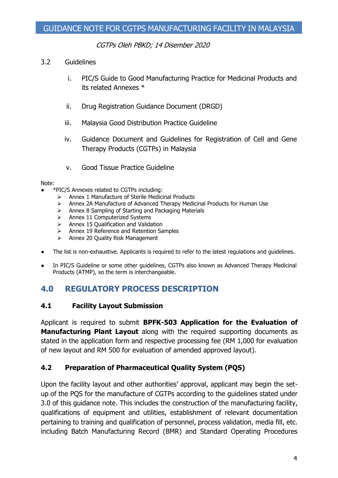CGTPs Oleh PBKD; 14 Disember 2020

#### 3.2 Guidelines

- i. PIC/S Guide to Good Manufacturing Practice for Medicinal Products and its related Annexes \*
- ii. Drug Registration Guidance Document (DRGD)
- iii. Malaysia Good Distribution Practice Guideline
- iv. Guidance Document and Guidelines for Registration of Cell and Gene Therapy Products (CGTPs) in Malaysia
- v. Good Tissue Practice Guideline

#### Note:

- \*PIC/S Annexes related to CGTPs including:
	- $\triangleright$  Annex 1 Manufacture of Sterile Medicinal Products
	- ⮚ Annex 2A Manufacture of Advanced Therapy Medicinal Products for Human Use
	- > Annex 8 Sampling of Starting and Packaging Materials
	- $\triangleright$  Annex 11 Computerized Systems
	- $\triangleright$  Annex 15 Qualification and Validation
	- ⮚ Annex 19 Reference and Retention Samples
	- $\triangleright$  Annex 20 Quality Risk Management
- The list is non-exhaustive. Applicants is required to refer to the latest regulations and guidelines.
- In PIC/S Guideline or some other guidelines, CGTPs also known as Advanced Therapy Medicinal Products (ATMP), so the term is interchangeable.

# **4.0 REGULATORY PROCESS DESCRIPTION**

### **4.1 Facility Layout Submission**

Applicant is required to submit **BPFK-503 Application for the Evaluation of Manufacturing Plant Layout** along with the required supporting documents as stated in the application form and respective processing fee (RM 1,000 for evaluation of new layout and RM 500 for evaluation of amended approved layout).

### **4.2 Preparation of Pharmaceutical Quality System (PQS)**

Upon the facility layout and other authorities' approval, applicant may begin the setup of the PQS for the manufacture of CGTPs according to the guidelines stated under 3.0 of this guidance note. This includes the construction of the manufacturing facility, qualifications of equipment and utilities, establishment of relevant documentation pertaining to training and qualification of personnel, process validation, media fill, etc. including Batch Manufacturing Record (BMR) and Standard Operating Procedures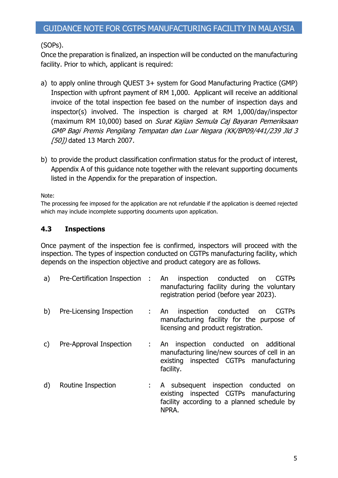### (SOPs).

Once the preparation is finalized, an inspection will be conducted on the manufacturing facility. Prior to which, applicant is required:

- a) to apply online through QUEST 3+ system for Good Manufacturing Practice (GMP) Inspection with upfront payment of RM 1,000. Applicant will receive an additional invoice of the total inspection fee based on the number of inspection days and inspector(s) involved. The inspection is charged at RM 1,000/day/inspector (maximum RM 10,000) based on Surat Kajian Semula Caj Bayaran Pemeriksaan GMP Bagi Premis Pengilang Tempatan dan Luar Negara (KK/BP09/441/239 Jld 3 [50]) dated 13 March 2007.
- b) to provide the product classification confirmation status for the product of interest, Appendix A of this guidance note together with the relevant supporting documents listed in the Appendix for the preparation of inspection.

Note:

The processing fee imposed for the application are not refundable if the application is deemed rejected which may include incomplete supporting documents upon application.

#### **4.3 Inspections**

Once payment of the inspection fee is confirmed, inspectors will proceed with the inspection. The types of inspection conducted on CGTPs manufacturing facility, which depends on the inspection objective and product category are as follows.

| a)           | Pre-Certification Inspection : An | inspection conducted<br><b>CGTPs</b><br>on<br>manufacturing facility during the voluntary<br>registration period (before year 2023).            |
|--------------|-----------------------------------|-------------------------------------------------------------------------------------------------------------------------------------------------|
| b)           | Pre-Licensing Inspection          | inspection conducted<br><b>CGTPs</b><br>: An<br>on<br>manufacturing facility for the purpose of<br>licensing and product registration.          |
| $\mathsf{C}$ | Pre-Approval Inspection           | inspection conducted on additional<br>An<br>manufacturing line/new sources of cell in an<br>existing inspected CGTPs manufacturing<br>facility. |
| d)           | Routine Inspection                | : A subsequent inspection conducted<br>on<br>existing inspected CGTPs manufacturing<br>facility according to a planned schedule by<br>NPRA.     |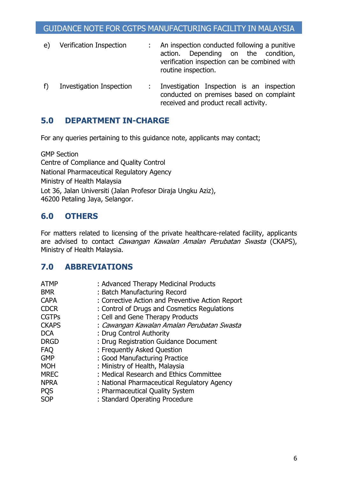- e) Verification Inspection : An inspection conducted following a punitive action. Depending on the condition, verification inspection can be combined with routine inspection.
- f) Investigation Inspection : Investigation Inspection is an inspection conducted on premises based on complaint received and product recall activity.

# **5.0 DEPARTMENT IN-CHARGE**

For any queries pertaining to this guidance note, applicants may contact;

GMP Section Centre of Compliance and Quality Control National Pharmaceutical Regulatory Agency Ministry of Health Malaysia Lot 36, Jalan Universiti (Jalan Profesor Diraja Ungku Aziz), 46200 Petaling Jaya, Selangor.

# **6.0 OTHERS**

For matters related to licensing of the private healthcare-related facility, applicants are advised to contact Cawangan Kawalan Amalan Perubatan Swasta (CKAPS), Ministry of Health Malaysia.

# **7.0 ABBREVIATIONS**

| <b>ATMP</b>  | : Advanced Therapy Medicinal Products            |
|--------------|--------------------------------------------------|
| <b>BMR</b>   | : Batch Manufacturing Record                     |
| <b>CAPA</b>  | : Corrective Action and Preventive Action Report |
| <b>CDCR</b>  | : Control of Drugs and Cosmetics Regulations     |
| <b>CGTPs</b> | : Cell and Gene Therapy Products                 |
| <b>CKAPS</b> | : Cawangan Kawalan Amalan Perubatan Swasta       |
| <b>DCA</b>   | : Drug Control Authority                         |
| <b>DRGD</b>  | : Drug Registration Guidance Document            |
| <b>FAQ</b>   | : Frequently Asked Question                      |
| <b>GMP</b>   | : Good Manufacturing Practice                    |
| <b>MOH</b>   | : Ministry of Health, Malaysia                   |
| <b>MREC</b>  | : Medical Research and Ethics Committee          |
| <b>NPRA</b>  | : National Pharmaceutical Regulatory Agency      |
| <b>PQS</b>   | : Pharmaceutical Quality System                  |
| <b>SOP</b>   | : Standard Operating Procedure                   |
|              |                                                  |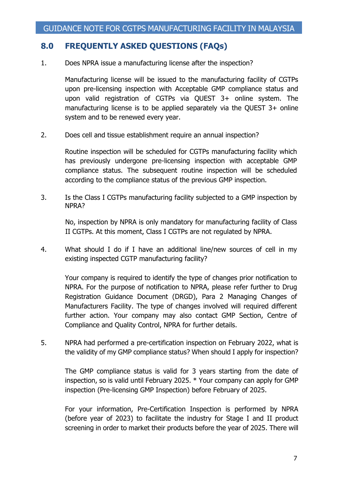## **8.0 FREQUENTLY ASKED QUESTIONS (FAQs)**

1. Does NPRA issue a manufacturing license after the inspection?

Manufacturing license will be issued to the manufacturing facility of CGTPs upon pre-licensing inspection with Acceptable GMP compliance status and upon valid registration of CGTPs via QUEST 3+ online system. The manufacturing license is to be applied separately via the QUEST 3+ online system and to be renewed every year.

2. Does cell and tissue establishment require an annual inspection?

Routine inspection will be scheduled for CGTPs manufacturing facility which has previously undergone pre-licensing inspection with acceptable GMP compliance status. The subsequent routine inspection will be scheduled according to the compliance status of the previous GMP inspection.

3. Is the Class I CGTPs manufacturing facility subjected to a GMP inspection by NPRA?

No, inspection by NPRA is only mandatory for manufacturing facility of Class II CGTPs. At this moment, Class I CGTPs are not regulated by NPRA.

4. What should I do if I have an additional line/new sources of cell in my existing inspected CGTP manufacturing facility?

Your company is required to identify the type of changes prior notification to NPRA. For the purpose of notification to NPRA, please refer further to Drug Registration Guidance Document (DRGD), Para 2 Managing Changes of Manufacturers Facility. The type of changes involved will required different further action. Your company may also contact GMP Section, Centre of Compliance and Quality Control, NPRA for further details.

5. NPRA had performed a pre-certification inspection on February 2022, what is the validity of my GMP compliance status? When should I apply for inspection?

The GMP compliance status is valid for 3 years starting from the date of inspection, so is valid until February 2025. \* Your company can apply for GMP inspection (Pre-licensing GMP Inspection) before February of 2025.

For your information, Pre-Certification Inspection is performed by NPRA (before year of 2023) to facilitate the industry for Stage I and II product screening in order to market their products before the year of 2025. There will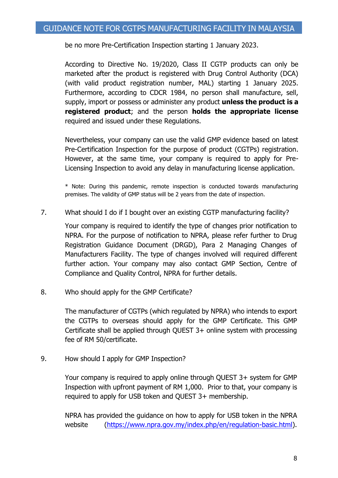be no more Pre-Certification Inspection starting 1 January 2023.

According to Directive No. 19/2020, Class II CGTP products can only be marketed after the product is registered with Drug Control Authority (DCA) (with valid product registration number, MAL) starting 1 January 2025. Furthermore, according to CDCR 1984, no person shall manufacture, sell, supply, import or possess or administer any product **unless the product is a registered product**; and the person **holds the appropriate license** required and issued under these Regulations.

Nevertheless, your company can use the valid GMP evidence based on latest Pre-Certification Inspection for the purpose of product (CGTPs) registration. However, at the same time, your company is required to apply for Pre-Licensing Inspection to avoid any delay in manufacturing license application.

\* Note: During this pandemic, remote inspection is conducted towards manufacturing premises. The validity of GMP status will be 2 years from the date of inspection.

7. What should I do if I bought over an existing CGTP manufacturing facility?

Your company is required to identify the type of changes prior notification to NPRA. For the purpose of notification to NPRA, please refer further to Drug Registration Guidance Document (DRGD), Para 2 Managing Changes of Manufacturers Facility. The type of changes involved will required different further action. Your company may also contact GMP Section, Centre of Compliance and Quality Control, NPRA for further details.

8. Who should apply for the GMP Certificate?

The manufacturer of CGTPs (which regulated by NPRA) who intends to export the CGTPs to overseas should apply for the GMP Certificate. This GMP Certificate shall be applied through QUEST 3+ online system with processing fee of RM 50/certificate.

9. How should I apply for GMP Inspection?

Your company is required to apply online through QUEST 3+ system for GMP Inspection with upfront payment of RM 1,000. Prior to that, your company is required to apply for USB token and QUEST 3+ membership.

NPRA has provided the guidance on how to apply for USB token in the NPRA website [\(https://www.npra.gov.my/index.php/en/regulation-basic.html\)](https://www.npra.gov.my/index.php/en/regulation-basic.html).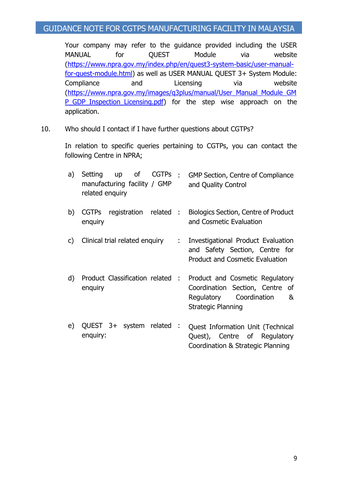### GUIDANCE NOTE FOR CGTPS MANUFACTURING FACILITY IN MALAYSIA

Your company may refer to the guidance provided including the USER MANUAL for OUEST Module via website [\(https://www.npra.gov.my/index.php/en/quest3-system-basic/user-manual](https://www.npra.gov.my/index.php/en/quest3-system-basic/user-manual-for-quest-module.html)[for-quest-module.html\)](https://www.npra.gov.my/index.php/en/quest3-system-basic/user-manual-for-quest-module.html) as well as USER MANUAL QUEST 3+ System Module: Compliance and Licensing via website [\(https://www.npra.gov.my/images/q3plus/manual/User\\_Manual\\_Module\\_GM](https://www.npra.gov.my/images/q3plus/manual/User_Manual_Module_GMP_GDP_Inspection_Licensing.pdf) [P\\_GDP\\_Inspection\\_Licensing.pdf\)](https://www.npra.gov.my/images/q3plus/manual/User_Manual_Module_GMP_GDP_Inspection_Licensing.pdf) for the step wise approach on the application.

10. Who should I contact if I have further questions about CGTPs?

In relation to specific queries pertaining to CGTPs, you can contact the following Centre in NPRA;

| a) | related enquiry |  | Setting up of CGTPs<br>manufacturing facility / GMP | : GMP Section, Centre of Compliance<br>and Quality Control             |
|----|-----------------|--|-----------------------------------------------------|------------------------------------------------------------------------|
| b) | enquiry         |  | CGTPs registration related :                        | <b>Biologics Section, Centre of Product</b><br>and Cosmetic Evaluation |

- c) Clinical trial related enquiry : Investigational Product Evaluation and Safety Section, Centre for Product and Cosmetic Evaluation
- d) Product Classification related enquiry : Product and Cosmetic Regulatory Coordination Section, Centre of Regulatory Coordination & Strategic Planning
- e) QUEST 3+ system related enquiry: : Quest Information Unit (Technical Quest), Centre of Regulatory Coordination & Strategic Planning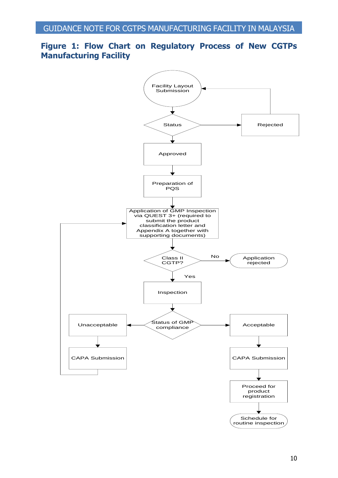### **Figure 1: Flow Chart on Regulatory Process of New CGTPs Manufacturing Facility**

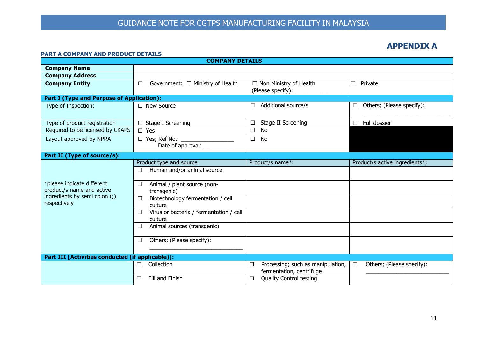#### **APPENDIX A**

#### **PART A COMPANY AND PRODUCT DETAILS**

| <b>COMPANY DETAILS</b>                                  |                                                          |                                                                    |                                     |  |  |  |  |  |  |
|---------------------------------------------------------|----------------------------------------------------------|--------------------------------------------------------------------|-------------------------------------|--|--|--|--|--|--|
| <b>Company Name</b>                                     |                                                          |                                                                    |                                     |  |  |  |  |  |  |
| <b>Company Address</b>                                  |                                                          |                                                                    |                                     |  |  |  |  |  |  |
| <b>Company Entity</b>                                   | Government: $\Box$ Ministry of Health<br>$\Box$          | $\Box$ Non Ministry of Health<br>(Please specify): _               | Private<br>П                        |  |  |  |  |  |  |
| <b>Part I (Type and Purpose of Application):</b>        |                                                          |                                                                    |                                     |  |  |  |  |  |  |
| Type of Inspection:                                     | $\Box$ New Source                                        | Additional source/s<br>П.                                          | Others; (Please specify):<br>□      |  |  |  |  |  |  |
| Type of product registration                            | $\Box$ Stage I Screening                                 | Stage II Screening<br>□                                            | Full dossier<br>П                   |  |  |  |  |  |  |
| Required to be licensed by CKAPS                        | $\square$ Yes                                            | <b>No</b><br>$\Box$                                                |                                     |  |  |  |  |  |  |
| Layout approved by NPRA                                 | □ Yes; Ref No.: ___________________<br>Date of approval: | <b>No</b><br>□                                                     |                                     |  |  |  |  |  |  |
| Part II (Type of source/s):                             |                                                          |                                                                    |                                     |  |  |  |  |  |  |
|                                                         | Product type and source                                  | Product/s name*:                                                   | Product/s active ingredients*;      |  |  |  |  |  |  |
|                                                         | Human and/or animal source                               |                                                                    |                                     |  |  |  |  |  |  |
| *please indicate different<br>product/s name and active | Animal / plant source (non-<br>transgenic)               |                                                                    |                                     |  |  |  |  |  |  |
| ingredients by semi colon (;)<br>respectively           | Biotechnology fermentation / cell<br>П.<br>culture       |                                                                    |                                     |  |  |  |  |  |  |
|                                                         | Virus or bacteria / fermentation / cell<br>culture       |                                                                    |                                     |  |  |  |  |  |  |
|                                                         | Animal sources (transgenic)                              |                                                                    |                                     |  |  |  |  |  |  |
|                                                         | Others; (Please specify):<br>$\Box$                      |                                                                    |                                     |  |  |  |  |  |  |
| Part III [Activities conducted (if applicable)]:        |                                                          |                                                                    |                                     |  |  |  |  |  |  |
|                                                         | Collection<br>П                                          | Processing; such as manipulation,<br>□<br>fermentation, centrifuge | Others; (Please specify):<br>$\Box$ |  |  |  |  |  |  |
|                                                         | Fill and Finish                                          | <b>Quality Control testing</b><br>□                                |                                     |  |  |  |  |  |  |